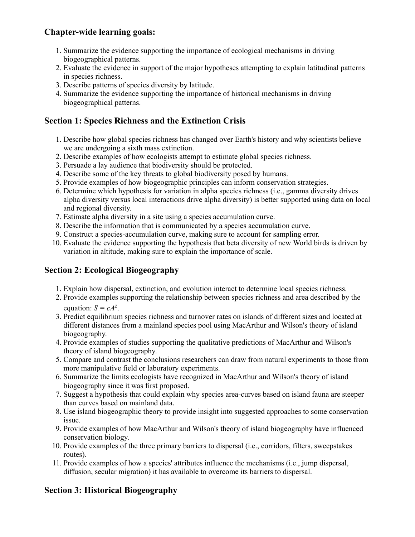## **Chapter-wide learning goals:**

- 1. Summarize the evidence supporting the importance of ecological mechanisms in driving biogeographical patterns.
- 2. Evaluate the evidence in support of the major hypotheses attempting to explain latitudinal patterns in species richness.
- 3. Describe patterns of species diversity by latitude.
- 4. Summarize the evidence supporting the importance of historical mechanisms in driving biogeographical patterns.

#### **Section 1: Species Richness and the Extinction Crisis**

- 1. Describe how global species richness has changed over Earth's history and why scientists believe we are undergoing a sixth mass extinction.
- 2. Describe examples of how ecologists attempt to estimate global species richness.
- 3. Persuade a lay audience that biodiversity should be protected.
- 4. Describe some of the key threats to global biodiversity posed by humans.
- 5. Provide examples of how biogeographic principles can inform conservation strategies.
- 6. Determine which hypothesis for variation in alpha species richness (i.e., gamma diversity drives alpha diversity versus local interactions drive alpha diversity) is better supported using data on local and regional diversity.
- 7. Estimate alpha diversity in a site using a species accumulation curve.
- 8. Describe the information that is communicated by a species accumulation curve.
- 9. Construct a species-accumulation curve, making sure to account for sampling error.
- 10. Evaluate the evidence supporting the hypothesis that beta diversity of new World birds is driven by variation in altitude, making sure to explain the importance of scale.

## **Section 2: Ecological Biogeography**

- 1. Explain how dispersal, extinction, and evolution interact to determine local species richness.
- 2. Provide examples supporting the relationship between species richness and area described by the equation:  $S = cA^z$ .
- 3. Predict equilibrium species richness and turnover rates on islands of different sizes and located at different distances from a mainland species pool using MacArthur and Wilson's theory of island biogeography.
- 4. Provide examples of studies supporting the qualitative predictions of MacArthur and Wilson's theory of island biogeography.
- 5. Compare and contrast the conclusions researchers can draw from natural experiments to those from more manipulative field or laboratory experiments.
- 6. Summarize the limits ecologists have recognized in MacArthur and Wilson's theory of island biogeography since it was first proposed.
- 7. Suggest a hypothesis that could explain why species area-curves based on island fauna are steeper than curves based on mainland data.
- 8. Use island biogeographic theory to provide insight into suggested approaches to some conservation issue.
- 9. Provide examples of how MacArthur and Wilson's theory of island biogeography have influenced conservation biology.
- 10. Provide examples of the three primary barriers to dispersal (i.e., corridors, filters, sweepstakes routes).
- 11. Provide examples of how a species' attributes influence the mechanisms (i.e., jump dispersal, diffusion, secular migration) it has available to overcome its barriers to dispersal.

# **Section 3: Historical Biogeography**